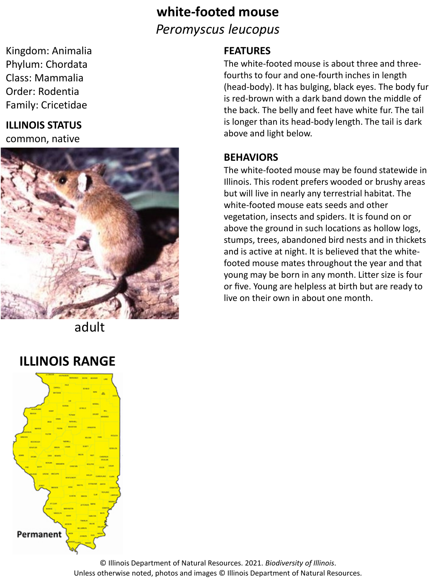# **white-footed mouse** *Peromyscus leucopus*

Kingdom: Animalia Phylum: Chordata Class: Mammalia Order: Rodentia Family: Cricetidae

## **ILLINOIS STATUS**

common, native



adult

## **ILLINOIS RANGE**



#### **FEATURES**

The white-footed mouse is about three and threefourths to four and one-fourth inches in length (head-body). It has bulging, black eyes. The body fur is red-brown with a dark band down the middle of the back. The belly and feet have white fur. The tail is longer than its head-body length. The tail is dark above and light below.

#### **BEHAVIORS**

The white-footed mouse may be found statewide in Illinois. This rodent prefers wooded or brushy areas but will live in nearly any terrestrial habitat. The white-footed mouse eats seeds and other vegetation, insects and spiders. It is found on or above the ground in such locations as hollow logs, stumps, trees, abandoned bird nests and in thickets and is active at night. It is believed that the whitefooted mouse mates throughout the year and that young may be born in any month. Litter size is four or five. Young are helpless at birth but are ready to live on their own in about one month.

© Illinois Department of Natural Resources. 2021. *Biodiversity of Illinois*. Unless otherwise noted, photos and images © Illinois Department of Natural Resources.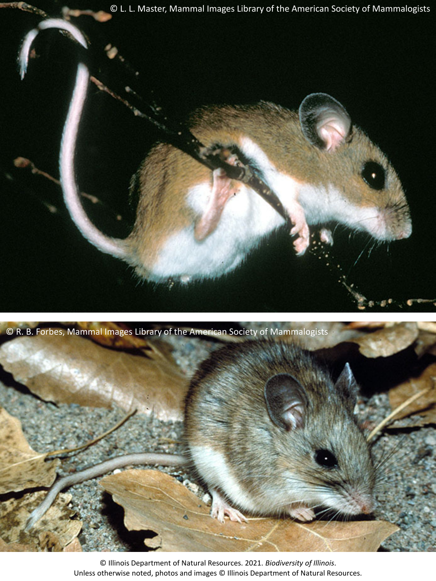

© R. B. Forbes, Mammal Images Library of the American Society of Mammalogists



© Illinois Department of Natural Resources. 2021. *Biodiversity of Illinois*. Unless otherwise noted, photos and images © Illinois Department of Natural Resources.